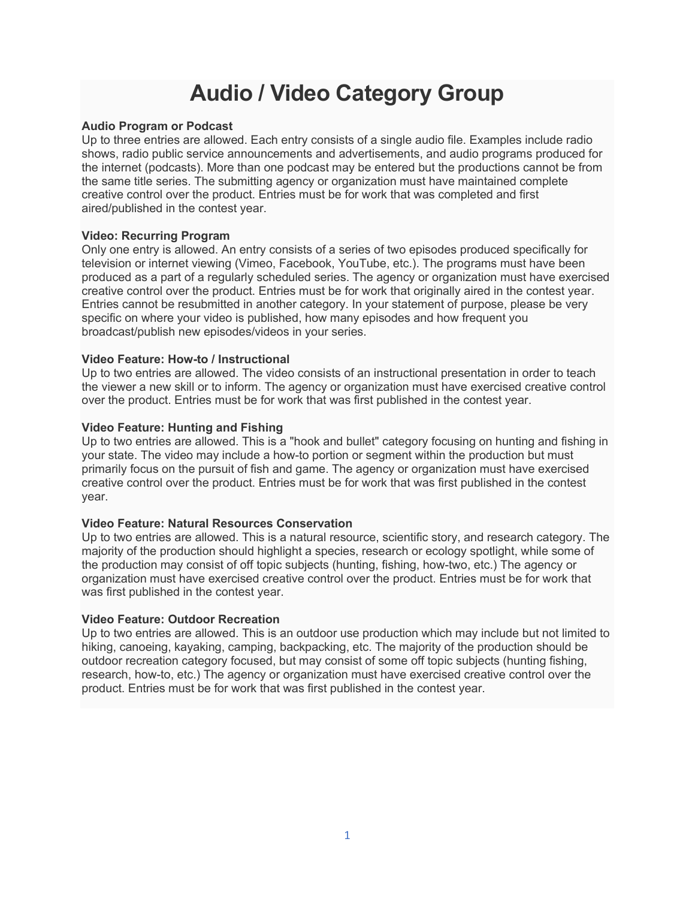## **Audio / Video Category Group**

## **Audio Program or Podcast**

Up to three entries are allowed. Each entry consists of a single audio file. Examples include radio shows, radio public service announcements and advertisements, and audio programs produced for the internet (podcasts). More than one podcast may be entered but the productions cannot be from the same title series. The submitting agency or organization must have maintained complete creative control over the product. Entries must be for work that was completed and first aired/published in the contest year.

## **Video: Recurring Program**

Only one entry is allowed. An entry consists of a series of two episodes produced specifically for television or internet viewing (Vimeo, Facebook, YouTube, etc.). The programs must have been produced as a part of a regularly scheduled series. The agency or organization must have exercised creative control over the product. Entries must be for work that originally aired in the contest year. Entries cannot be resubmitted in another category. In your statement of purpose, please be very specific on where your video is published, how many episodes and how frequent you broadcast/publish new episodes/videos in your series.

## **Video Feature: How-to / Instructional**

Up to two entries are allowed. The video consists of an instructional presentation in order to teach the viewer a new skill or to inform. The agency or organization must have exercised creative control over the product. Entries must be for work that was first published in the contest year.

## **Video Feature: Hunting and Fishing**

Up to two entries are allowed. This is a "hook and bullet" category focusing on hunting and fishing in your state. The video may include a how-to portion or segment within the production but must primarily focus on the pursuit of fish and game. The agency or organization must have exercised creative control over the product. Entries must be for work that was first published in the contest year.

## **Video Feature: Natural Resources Conservation**

Up to two entries are allowed. This is a natural resource, scientific story, and research category. The majority of the production should highlight a species, research or ecology spotlight, while some of the production may consist of off topic subjects (hunting, fishing, how-two, etc.) The agency or organization must have exercised creative control over the product. Entries must be for work that was first published in the contest year.

## **Video Feature: Outdoor Recreation**

Up to two entries are allowed. This is an outdoor use production which may include but not limited to hiking, canoeing, kayaking, camping, backpacking, etc. The majority of the production should be outdoor recreation category focused, but may consist of some off topic subjects (hunting fishing, research, how-to, etc.) The agency or organization must have exercised creative control over the product. Entries must be for work that was first published in the contest year.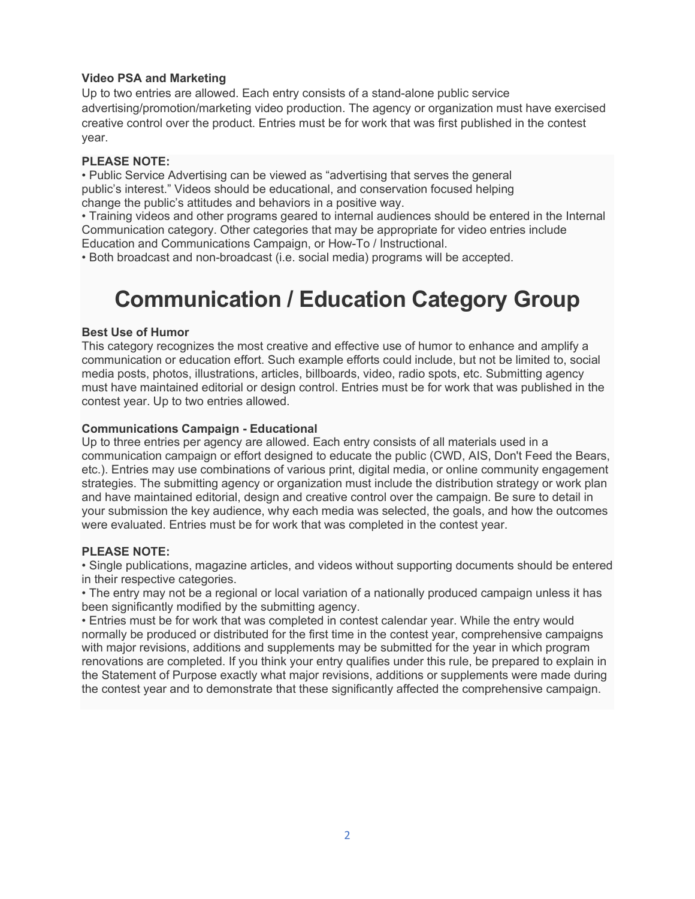## **Video PSA and Marketing**

Up to two entries are allowed. Each entry consists of a stand-alone public service advertising/promotion/marketing video production. The agency or organization must have exercised creative control over the product. Entries must be for work that was first published in the contest year.

## **PLEASE NOTE:**

• Public Service Advertising can be viewed as "advertising that serves the general public's interest." Videos should be educational, and conservation focused helping change the public's attitudes and behaviors in a positive way.

• Training videos and other programs geared to internal audiences should be entered in the Internal Communication category. Other categories that may be appropriate for video entries include Education and Communications Campaign, or How-To / Instructional.

• Both broadcast and non-broadcast (i.e. social media) programs will be accepted.

# **Communication / Education Category Group**

## **Best Use of Humor**

This category recognizes the most creative and effective use of humor to enhance and amplify a communication or education effort. Such example efforts could include, but not be limited to, social media posts, photos, illustrations, articles, billboards, video, radio spots, etc. Submitting agency must have maintained editorial or design control. Entries must be for work that was published in the contest year. Up to two entries allowed.

## **Communications Campaign - Educational**

Up to three entries per agency are allowed. Each entry consists of all materials used in a communication campaign or effort designed to educate the public (CWD, AIS, Don't Feed the Bears, etc.). Entries may use combinations of various print, digital media, or online community engagement strategies. The submitting agency or organization must include the distribution strategy or work plan and have maintained editorial, design and creative control over the campaign. Be sure to detail in your submission the key audience, why each media was selected, the goals, and how the outcomes were evaluated. Entries must be for work that was completed in the contest year.

## **PLEASE NOTE:**

• Single publications, magazine articles, and videos without supporting documents should be entered in their respective categories.

• The entry may not be a regional or local variation of a nationally produced campaign unless it has been significantly modified by the submitting agency.

• Entries must be for work that was completed in contest calendar year. While the entry would normally be produced or distributed for the first time in the contest year, comprehensive campaigns with major revisions, additions and supplements may be submitted for the year in which program renovations are completed. If you think your entry qualifies under this rule, be prepared to explain in the Statement of Purpose exactly what major revisions, additions or supplements were made during the contest year and to demonstrate that these significantly affected the comprehensive campaign.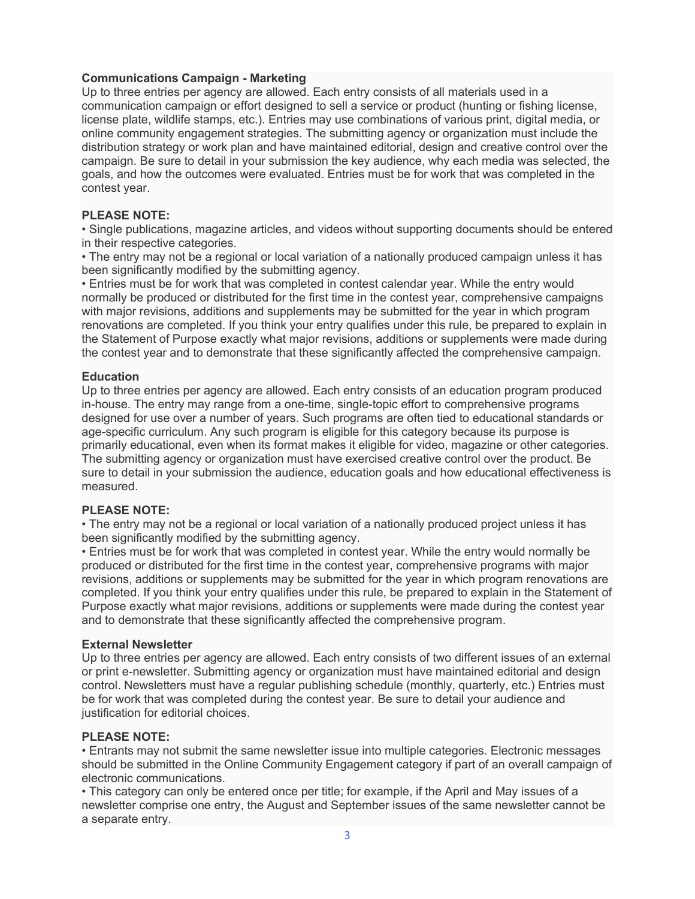## **Communications Campaign - Marketing**

Up to three entries per agency are allowed. Each entry consists of all materials used in a communication campaign or effort designed to sell a service or product (hunting or fishing license, license plate, wildlife stamps, etc.). Entries may use combinations of various print, digital media, or online community engagement strategies. The submitting agency or organization must include the distribution strategy or work plan and have maintained editorial, design and creative control over the campaign. Be sure to detail in your submission the key audience, why each media was selected, the goals, and how the outcomes were evaluated. Entries must be for work that was completed in the contest year.

## **PLEASE NOTE:**

• Single publications, magazine articles, and videos without supporting documents should be entered in their respective categories.

• The entry may not be a regional or local variation of a nationally produced campaign unless it has been significantly modified by the submitting agency.

• Entries must be for work that was completed in contest calendar year. While the entry would normally be produced or distributed for the first time in the contest year, comprehensive campaigns with major revisions, additions and supplements may be submitted for the year in which program renovations are completed. If you think your entry qualifies under this rule, be prepared to explain in the Statement of Purpose exactly what major revisions, additions or supplements were made during the contest year and to demonstrate that these significantly affected the comprehensive campaign.

## **Education**

Up to three entries per agency are allowed. Each entry consists of an education program produced in-house. The entry may range from a one-time, single-topic effort to comprehensive programs designed for use over a number of years. Such programs are often tied to educational standards or age-specific curriculum. Any such program is eligible for this category because its purpose is primarily educational, even when its format makes it eligible for video, magazine or other categories. The submitting agency or organization must have exercised creative control over the product. Be sure to detail in your submission the audience, education goals and how educational effectiveness is measured.

## **PLEASE NOTE:**

• The entry may not be a regional or local variation of a nationally produced project unless it has been significantly modified by the submitting agency.

• Entries must be for work that was completed in contest year. While the entry would normally be produced or distributed for the first time in the contest year, comprehensive programs with major revisions, additions or supplements may be submitted for the year in which program renovations are completed. If you think your entry qualifies under this rule, be prepared to explain in the Statement of Purpose exactly what major revisions, additions or supplements were made during the contest year and to demonstrate that these significantly affected the comprehensive program.

## **External Newsletter**

Up to three entries per agency are allowed. Each entry consists of two different issues of an external or print e-newsletter. Submitting agency or organization must have maintained editorial and design control. Newsletters must have a regular publishing schedule (monthly, quarterly, etc.) Entries must be for work that was completed during the contest year. Be sure to detail your audience and justification for editorial choices.

## **PLEASE NOTE:**

• Entrants may not submit the same newsletter issue into multiple categories. Electronic messages should be submitted in the Online Community Engagement category if part of an overall campaign of electronic communications.

• This category can only be entered once per title; for example, if the April and May issues of a newsletter comprise one entry, the August and September issues of the same newsletter cannot be a separate entry.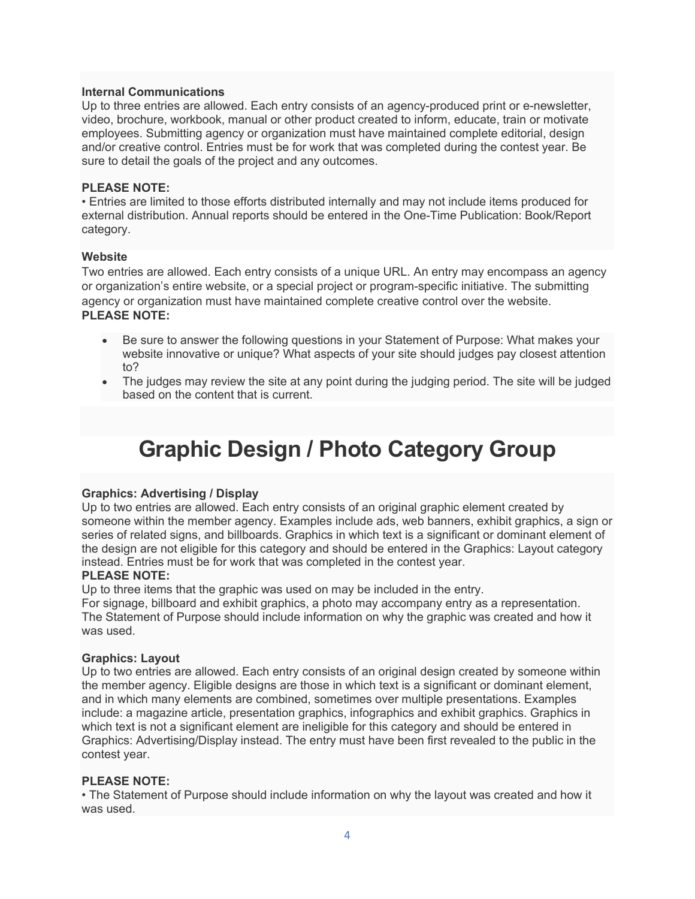## **Internal Communications**

Up to three entries are allowed. Each entry consists of an agency-produced print or e-newsletter, video, brochure, workbook, manual or other product created to inform, educate, train or motivate employees. Submitting agency or organization must have maintained complete editorial, design and/or creative control. Entries must be for work that was completed during the contest year. Be sure to detail the goals of the project and any outcomes.

### **PLEASE NOTE:**

• Entries are limited to those efforts distributed internally and may not include items produced for external distribution. Annual reports should be entered in the One-Time Publication: Book/Report category.

#### **Website**

Two entries are allowed. Each entry consists of a unique URL. An entry may encompass an agency or organization's entire website, or a special project or program-specific initiative. The submitting agency or organization must have maintained complete creative control over the website. **PLEASE NOTE:**

- Be sure to answer the following questions in your Statement of Purpose: What makes your website innovative or unique? What aspects of your site should judges pay closest attention to?
- The judges may review the site at any point during the judging period. The site will be judged based on the content that is current.

## **Graphic Design / Photo Category Group**

## **Graphics: Advertising / Display**

Up to two entries are allowed. Each entry consists of an original graphic element created by someone within the member agency. Examples include ads, web banners, exhibit graphics, a sign or series of related signs, and billboards. Graphics in which text is a significant or dominant element of the design are not eligible for this category and should be entered in the Graphics: Layout category instead. Entries must be for work that was completed in the contest year.

#### **PLEASE NOTE:**

Up to three items that the graphic was used on may be included in the entry.

For signage, billboard and exhibit graphics, a photo may accompany entry as a representation. The Statement of Purpose should include information on why the graphic was created and how it was used.

#### **Graphics: Layout**

Up to two entries are allowed. Each entry consists of an original design created by someone within the member agency. Eligible designs are those in which text is a significant or dominant element, and in which many elements are combined, sometimes over multiple presentations. Examples include: a magazine article, presentation graphics, infographics and exhibit graphics. Graphics in which text is not a significant element are ineligible for this category and should be entered in Graphics: Advertising/Display instead. The entry must have been first revealed to the public in the contest year.

#### **PLEASE NOTE:**

• The Statement of Purpose should include information on why the layout was created and how it was used.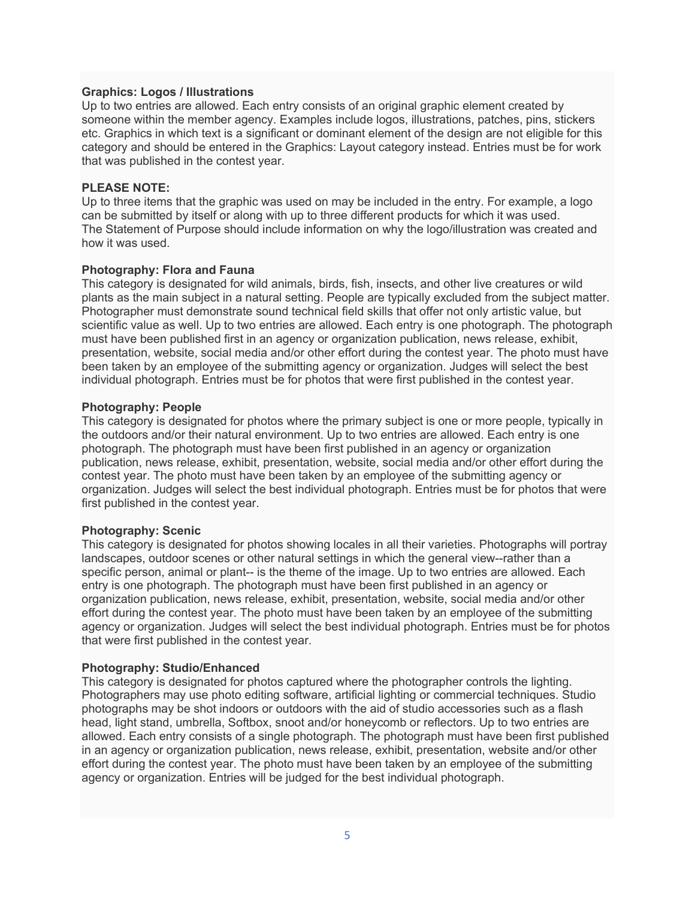#### **Graphics: Logos / Illustrations**

Up to two entries are allowed. Each entry consists of an original graphic element created by someone within the member agency. Examples include logos, illustrations, patches, pins, stickers etc. Graphics in which text is a significant or dominant element of the design are not eligible for this category and should be entered in the Graphics: Layout category instead. Entries must be for work that was published in the contest year.

### **PLEASE NOTE:**

Up to three items that the graphic was used on may be included in the entry. For example, a logo can be submitted by itself or along with up to three different products for which it was used. The Statement of Purpose should include information on why the logo/illustration was created and how it was used.

#### **Photography: Flora and Fauna**

This category is designated for wild animals, birds, fish, insects, and other live creatures or wild plants as the main subject in a natural setting. People are typically excluded from the subject matter. Photographer must demonstrate sound technical field skills that offer not only artistic value, but scientific value as well. Up to two entries are allowed. Each entry is one photograph. The photograph must have been published first in an agency or organization publication, news release, exhibit, presentation, website, social media and/or other effort during the contest year. The photo must have been taken by an employee of the submitting agency or organization. Judges will select the best individual photograph. Entries must be for photos that were first published in the contest year.

#### **Photography: People**

This category is designated for photos where the primary subject is one or more people, typically in the outdoors and/or their natural environment. Up to two entries are allowed. Each entry is one photograph. The photograph must have been first published in an agency or organization publication, news release, exhibit, presentation, website, social media and/or other effort during the contest year. The photo must have been taken by an employee of the submitting agency or organization. Judges will select the best individual photograph. Entries must be for photos that were first published in the contest year.

## **Photography: Scenic**

This category is designated for photos showing locales in all their varieties. Photographs will portray landscapes, outdoor scenes or other natural settings in which the general view--rather than a specific person, animal or plant-- is the theme of the image. Up to two entries are allowed. Each entry is one photograph. The photograph must have been first published in an agency or organization publication, news release, exhibit, presentation, website, social media and/or other effort during the contest year. The photo must have been taken by an employee of the submitting agency or organization. Judges will select the best individual photograph. Entries must be for photos that were first published in the contest year.

## **Photography: Studio/Enhanced**

This category is designated for photos captured where the photographer controls the lighting. Photographers may use photo editing software, artificial lighting or commercial techniques. Studio photographs may be shot indoors or outdoors with the aid of studio accessories such as a flash head, light stand, umbrella, Softbox, snoot and/or honeycomb or reflectors. Up to two entries are allowed. Each entry consists of a single photograph. The photograph must have been first published in an agency or organization publication, news release, exhibit, presentation, website and/or other effort during the contest year. The photo must have been taken by an employee of the submitting agency or organization. Entries will be judged for the best individual photograph.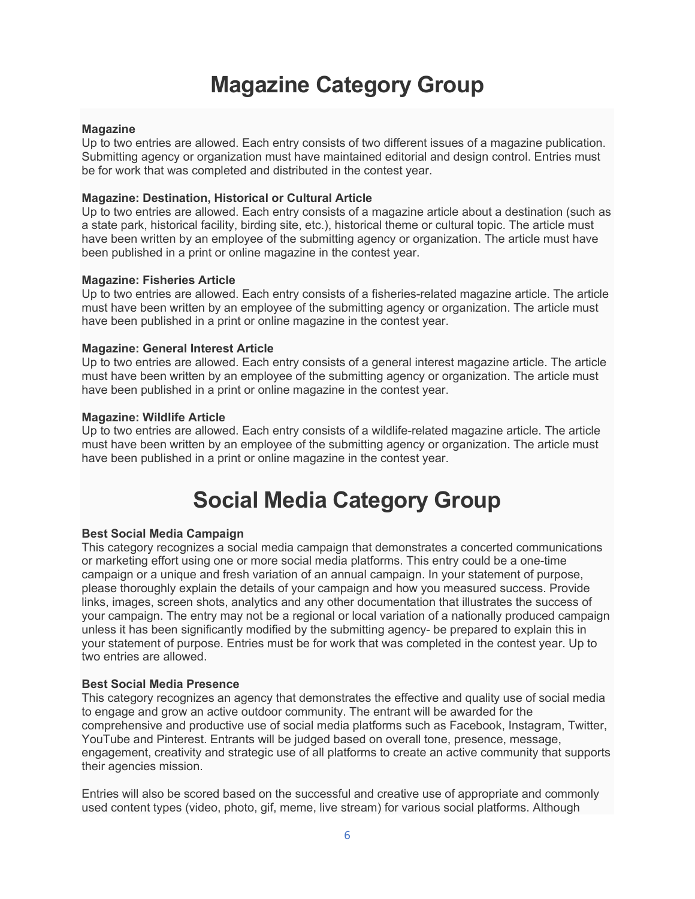## **Magazine Category Group**

### **Magazine**

Up to two entries are allowed. Each entry consists of two different issues of a magazine publication. Submitting agency or organization must have maintained editorial and design control. Entries must be for work that was completed and distributed in the contest year.

### **Magazine: Destination, Historical or Cultural Article**

Up to two entries are allowed. Each entry consists of a magazine article about a destination (such as a state park, historical facility, birding site, etc.), historical theme or cultural topic. The article must have been written by an employee of the submitting agency or organization. The article must have been published in a print or online magazine in the contest year.

#### **Magazine: Fisheries Article**

Up to two entries are allowed. Each entry consists of a fisheries-related magazine article. The article must have been written by an employee of the submitting agency or organization. The article must have been published in a print or online magazine in the contest year.

### **Magazine: General Interest Article**

Up to two entries are allowed. Each entry consists of a general interest magazine article. The article must have been written by an employee of the submitting agency or organization. The article must have been published in a print or online magazine in the contest year.

#### **Magazine: Wildlife Article**

Up to two entries are allowed. Each entry consists of a wildlife-related magazine article. The article must have been written by an employee of the submitting agency or organization. The article must have been published in a print or online magazine in the contest year.

## **Social Media Category Group**

#### **Best Social Media Campaign**

This category recognizes a social media campaign that demonstrates a concerted communications or marketing effort using one or more social media platforms. This entry could be a one-time campaign or a unique and fresh variation of an annual campaign. In your statement of purpose, please thoroughly explain the details of your campaign and how you measured success. Provide links, images, screen shots, analytics and any other documentation that illustrates the success of your campaign. The entry may not be a regional or local variation of a nationally produced campaign unless it has been significantly modified by the submitting agency- be prepared to explain this in your statement of purpose. Entries must be for work that was completed in the contest year. Up to two entries are allowed.

#### **Best Social Media Presence**

This category recognizes an agency that demonstrates the effective and quality use of social media to engage and grow an active outdoor community. The entrant will be awarded for the comprehensive and productive use of social media platforms such as Facebook, Instagram, Twitter, YouTube and Pinterest. Entrants will be judged based on overall tone, presence, message, engagement, creativity and strategic use of all platforms to create an active community that supports their agencies mission.

Entries will also be scored based on the successful and creative use of appropriate and commonly used content types (video, photo, gif, meme, live stream) for various social platforms. Although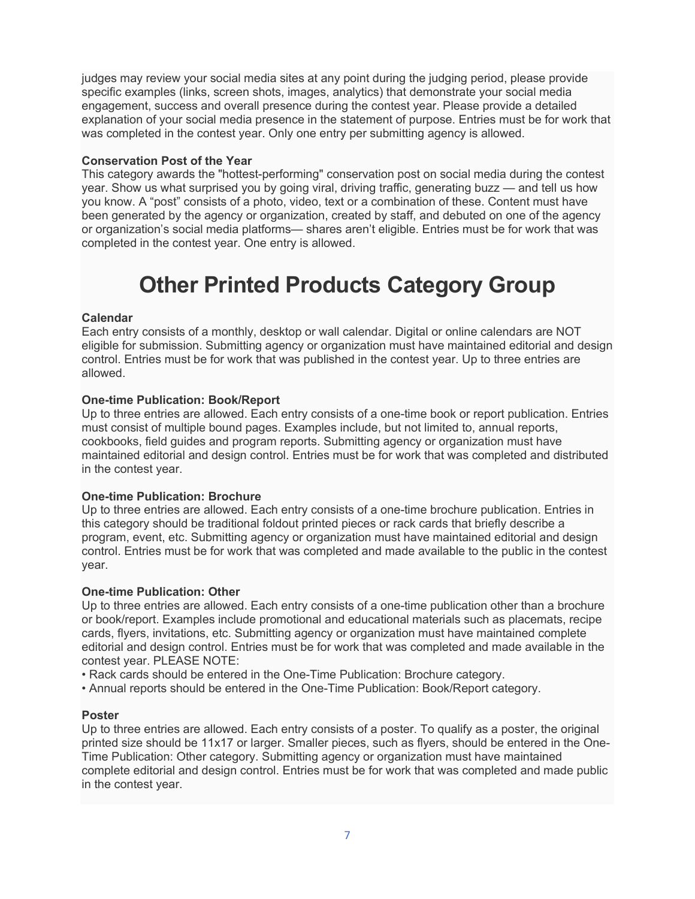judges may review your social media sites at any point during the judging period, please provide specific examples (links, screen shots, images, analytics) that demonstrate your social media engagement, success and overall presence during the contest year. Please provide a detailed explanation of your social media presence in the statement of purpose. Entries must be for work that was completed in the contest year. Only one entry per submitting agency is allowed.

## **Conservation Post of the Year**

This category awards the "hottest-performing" conservation post on social media during the contest year. Show us what surprised you by going viral, driving traffic, generating buzz — and tell us how you know. A "post" consists of a photo, video, text or a combination of these. Content must have been generated by the agency or organization, created by staff, and debuted on one of the agency or organization's social media platforms— shares aren't eligible. Entries must be for work that was completed in the contest year. One entry is allowed.

## **Other Printed Products Category Group**

## **Calendar**

Each entry consists of a monthly, desktop or wall calendar. Digital or online calendars are NOT eligible for submission. Submitting agency or organization must have maintained editorial and design control. Entries must be for work that was published in the contest year. Up to three entries are allowed.

## **One-time Publication: Book/Report**

Up to three entries are allowed. Each entry consists of a one-time book or report publication. Entries must consist of multiple bound pages. Examples include, but not limited to, annual reports, cookbooks, field guides and program reports. Submitting agency or organization must have maintained editorial and design control. Entries must be for work that was completed and distributed in the contest year.

## **One-time Publication: Brochure**

Up to three entries are allowed. Each entry consists of a one-time brochure publication. Entries in this category should be traditional foldout printed pieces or rack cards that briefly describe a program, event, etc. Submitting agency or organization must have maintained editorial and design control. Entries must be for work that was completed and made available to the public in the contest year.

## **One-time Publication: Other**

Up to three entries are allowed. Each entry consists of a one-time publication other than a brochure or book/report. Examples include promotional and educational materials such as placemats, recipe cards, flyers, invitations, etc. Submitting agency or organization must have maintained complete editorial and design control. Entries must be for work that was completed and made available in the contest year. PLEASE NOTE:

- Rack cards should be entered in the One-Time Publication: Brochure category.
- Annual reports should be entered in the One-Time Publication: Book/Report category.

## **Poster**

Up to three entries are allowed. Each entry consists of a poster. To qualify as a poster, the original printed size should be 11x17 or larger. Smaller pieces, such as flyers, should be entered in the One-Time Publication: Other category. Submitting agency or organization must have maintained complete editorial and design control. Entries must be for work that was completed and made public in the contest year.